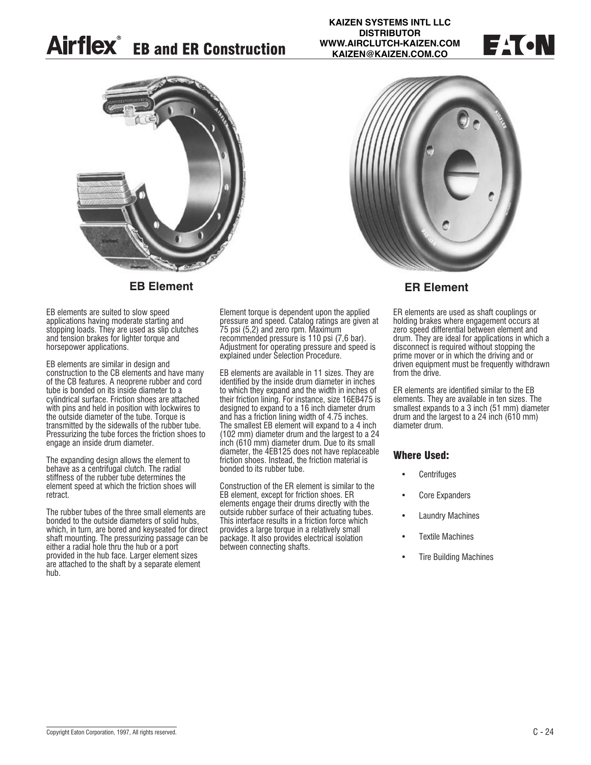### **Airflex<sup>®</sup>** EB and ER Construction

**KAIZEN SYSTEMS INTL LLC DISTRIBUTOR WWW.AIRCLUTCH-KAIZEN.COM KAIZEN@KAIZEN.COM.CO**





#### **EB Element ER Element**

EB elements are suited to slow speed applications having moderate starting and stopping loads. They are used as slip clutches and tension brakes for lighter torque and horsepower applications.

EB elements are similar in design and construction to the CB elements and have many of the CB features. A neoprene rubber and cord tube is bonded on its inside diameter to a cylindrical surface. Friction shoes are attached with pins and held in position with lockwires to the outside diameter of the tube. Torque is transmitted by the sidewalls of the rubber tube. Pressurizing the tube forces the friction shoes to engage an inside drum diameter.

The expanding design allows the element to behave as a centrifugal clutch. The radial stiffness of the rubber tube determines the element speed at which the friction shoes will retract.

The rubber tubes of the three small elements are bonded to the outside diameters of solid hubs, which, in turn, are bored and keyseated for direct shaft mounting. The pressurizing passage can be either a radial hole thru the hub or a port provided in the hub face. Larger element sizes are attached to the shaft by a separate element hub.

Element torque is dependent upon the applied pressure and speed. Catalog ratings are given at 75 psi (5,2) and zero rpm. Maximum recommended pressure is 110 psi (7,6 bar). Adjustment for operating pressure and speed is explained under Selection Procedure.

EB elements are available in 11 sizes. They are identified by the inside drum diameter in inches to which they expand and the width in inches of their friction lining. For instance, size 16EB475 is designed to expand to a 16 inch diameter drum and has a friction lining width of 4.75 inches. The smallest EB element will expand to a 4 inch (102 mm) diameter drum and the largest to a 24 inch (610 mm) diameter drum. Due to its small diameter, the 4EB125 does not have replaceable friction shoes. Instead, the friction material is bonded to its rubber tube.

Construction of the ER element is similar to the EB element, except for friction shoes. ER elements engage their drums directly with the outside rubber surface of their actuating tubes. This interface results in a friction force which provides a large torque in a relatively small package. It also provides electrical isolation between connecting shafts.



ER elements are used as shaft couplings or holding brakes where engagement occurs at zero speed differential between element and drum. They are ideal for applications in which a disconnect is required without stopping the prime mover or in which the driving and or driven equipment must be frequently withdrawn from the drive.

ER elements are identified similar to the EB elements. They are available in ten sizes. The smallest expands to a 3 inch (51 mm) diameter drum and the largest to a 24 inch (610 mm) diameter drum.

#### Where Used:

- **Centrifuges**
- **Core Expanders**
- **Laundry Machines**
- **Textile Machines**
- **Tire Building Machines**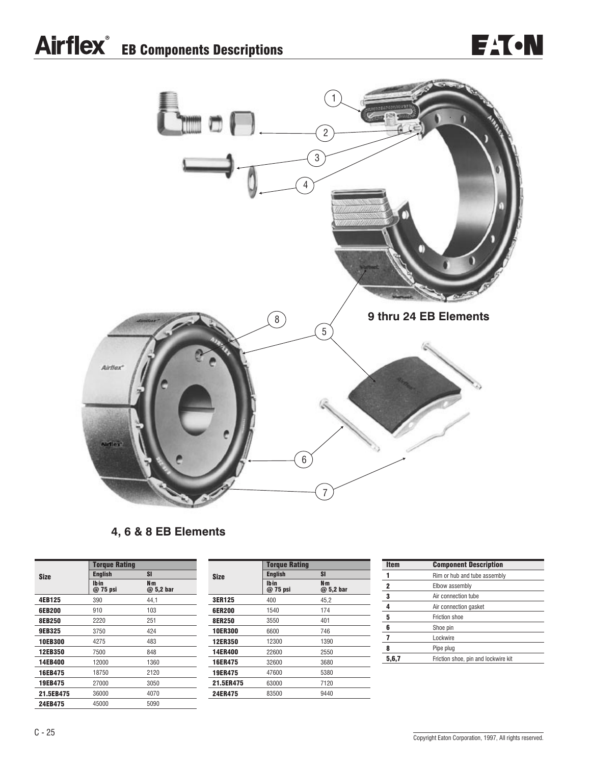



### **4, 6 & 8 EB Elements**

|                | <b>Torque Rating</b>     |                              |                | <b>Torque Rating</b>    |                              | Ite           |
|----------------|--------------------------|------------------------------|----------------|-------------------------|------------------------------|---------------|
| <b>Size</b>    | <b>English</b>           | SI                           | <b>Size</b>    | <b>English</b>          | SI                           | 1             |
|                | <b>Ibin</b><br>$@75$ psi | N <sub>m</sub><br>$@5,2$ bar |                | <b>Ibin</b><br>@ 75 psi | N <sub>m</sub><br>$@5,2$ bar | 2             |
| 4EB125         | 390                      | 44,1                         | <b>3ER125</b>  | 400                     | 45,2                         | $\frac{3}{2}$ |
| 6EB200         | 910                      | 103                          | 6ER200         | 1540                    | 174                          | 4             |
| 8EB250         | 2220                     | 251                          | <b>8ER250</b>  | 3550                    | 401                          | 5             |
| <b>9EB325</b>  | 3750                     | 424                          | <b>10ER300</b> | 6600                    | 746                          | 6             |
| <b>10EB300</b> | 4275                     | 483                          | <b>12ER350</b> | 12300                   | 1390                         | 7             |
| 12EB350        | 7500                     | 848                          | 14ER400        | 22600                   | 2550                         | 8             |
| 14EB400        | 12000                    | 1360                         | <b>16ER475</b> | 32600                   | 3680                         | 5,6           |
| 16EB475        | 18750                    | 2120                         | <b>19ER475</b> | 47600                   | 5380                         |               |
| 19EB475        | 27000                    | 3050                         | 21.5ER475      | 63000                   | 7120                         |               |
| 21.5EB475      | 36000                    | 4070                         | 24ER475        | 83500                   | 9440                         |               |
| 24EB475        | 45000                    | 5090                         |                |                         |                              |               |

| <b>Item</b> | <b>Component Description</b>        |
|-------------|-------------------------------------|
|             | Rim or hub and tube assembly        |
| 2           | Elbow assembly                      |
| 3           | Air connection tube                 |
|             | Air connection gasket               |
| 5           | Friction shoe                       |
| 6           | Shoe pin                            |
|             | Lockwire                            |
|             | Pipe plug                           |
| 5,6,7       | Friction shoe, pin and lockwire kit |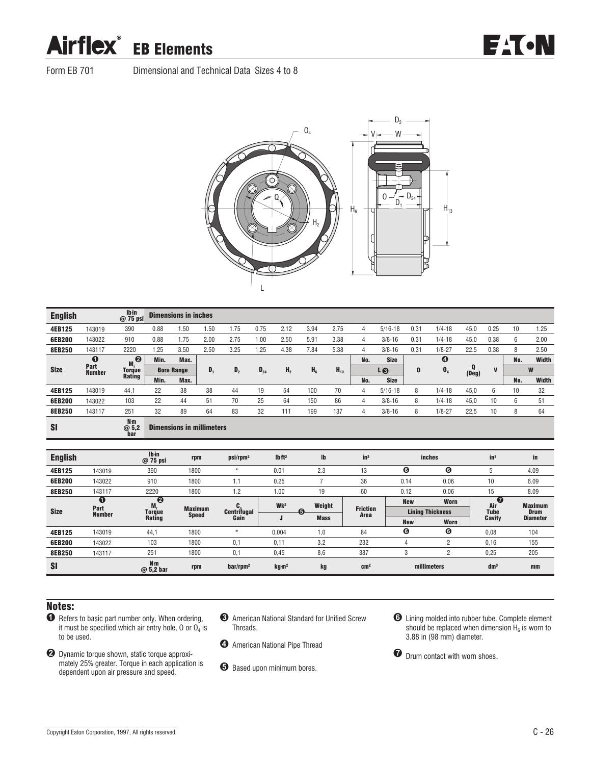### **Airflex®** EB Elements

Form EB 701 Dimensional and Technical Data Sizes 4 to 8



| <b>English</b> |                         | <b>Ibin</b><br>@ 75 psi                 |                         | <b>Dimensions in inches</b>      |                                |                      |          |                   |                |          |                         |             |             |                         |                  |                                |     |                 |
|----------------|-------------------------|-----------------------------------------|-------------------------|----------------------------------|--------------------------------|----------------------|----------|-------------------|----------------|----------|-------------------------|-------------|-------------|-------------------------|------------------|--------------------------------|-----|-----------------|
| 4EB125         | 143019                  | 390                                     | 0.88                    | 1.50                             | 1.50                           | 1.75                 | 0.75     | 2.12              | 3.94           | 2.75     | 4                       | $5/16 - 18$ | 0.31        | $1/4 - 18$              | 45.0             | 0.25                           | 10  | 1.25            |
| 6EB200         | 143022                  | 910                                     | 0.88                    | 1.75                             | 2.00                           | 2.75                 | 1.00     | 2.50              | 5.91           | 3.38     | 4                       | $3/8 - 16$  | 0.31        | $1/4 - 18$              | 45.0             | 0.38                           | 6   | 2.00            |
| 8EB250         | 143117                  | 2220                                    | 1.25                    | 3.50                             | 2.50                           | 3.25                 | 1.25     | 4.38              | 7.84           | 5.38     | 4                       | $3/8 - 16$  | 0.31        | $1/8 - 27$              | 22.5             | 0.38                           | 8   | 2.50            |
|                | $\bf{0}$                | $\boldsymbol{\Theta}$<br>M <sub>r</sub> | Min.                    | Max.                             |                                |                      |          |                   |                |          | No.                     | <b>Size</b> |             | $\boldsymbol{\Theta}$   |                  |                                | No. | <b>Width</b>    |
| <b>Size</b>    | Part<br><b>Number</b>   | <b>Torque</b>                           |                         | <b>Bore Range</b>                | $D_1$                          | $D_{2}$              | $D_{24}$ | H <sub>2</sub>    | H <sub>6</sub> | $H_{13}$ |                         | L ❸         | $\mathbf 0$ | $\mathbf{0}_4$          | Q<br>$($ Deg $)$ | V                              |     | W               |
|                |                         | <b>Rating</b>                           | Min.                    | Max.                             |                                |                      |          |                   |                |          | No.                     | <b>Size</b> |             |                         |                  |                                | No. | <b>Width</b>    |
| 4EB125         | 143019                  | 44,1                                    | 22                      | 38                               | 38                             | 44                   | 19       | 54                | 100            | 70       | 4                       | $5/16 - 18$ | 8           | $1/4 - 18$              | 45,0             | 6                              | 10  | 32              |
| 6EB200         | 143022                  | 103                                     | 22                      | 44                               | 51                             | 70                   | 25       | 64                | 150            | 86       | 4                       | $3/8 - 16$  | 8           | $1/4 - 18$              | 45,0             | 10                             | 6   | 51              |
| 8EB250         | 143117                  | 251                                     | 32                      | 89                               | 64                             | 83                   | 32       | 111               | 199            | 137      | $\overline{4}$          | $3/8 - 16$  | 8           | $1/8 - 27$              | 22,5             | 10                             | 8   | 64              |
| <b>SI</b>      |                         | N <sub>m</sub><br>@ 5,2<br>bar          |                         | <b>Dimensions in millimeters</b> |                                |                      |          |                   |                |          |                         |             |             |                         |                  |                                |     |                 |
| <b>English</b> |                         |                                         | <b>Ibin</b><br>@ 75 psi |                                  | rpm                            | psi/rpm <sup>2</sup> |          | Ibft <sup>2</sup> | $\mathbf{I}$   |          | in <sup>2</sup>         |             |             | inches                  |                  | $in^3$                         |     | in              |
| 4EB125         | 143019                  |                                         | 390                     | 1800                             |                                | $\star$              |          | 0.01              | 2.3            |          | 13                      |             | $\bullet$   | $\odot$                 |                  | 5                              |     | 4.09            |
| 6EB200         | 143022                  |                                         | 910                     | 1800                             |                                | 1.1                  |          | 0.25              | $\overline{7}$ |          | 36                      |             | 0.14        | 0.06                    |                  | 10                             |     | 6.09            |
| 8EB250         | 143117                  |                                         | 2220                    | 1800                             |                                | 1.2                  |          | 1.00              | 19             |          | 60                      |             | 0.12        | 0.06                    |                  | 15                             |     | 8.09            |
|                | $\overline{\mathbf{0}}$ |                                         | ❷<br>M,                 |                                  |                                | C.                   |          | Wk <sup>2</sup>   | Weight         |          |                         |             | <b>New</b>  | Worn                    |                  | $\overline{\mathbf{0}}$<br>Air |     | <b>Maximum</b>  |
| <b>Size</b>    | Part<br><b>Number</b>   |                                         | Torque                  |                                  | <b>Maximum</b><br><b>Speed</b> | Centritugal          |          |                   | 6              |          | <b>Friction</b><br>Area |             |             | <b>Lining Thickness</b> |                  | <b>Tube</b>                    |     | <b>Drum</b>     |
|                |                         |                                         | <b>Rating</b>           |                                  |                                | Gain                 |          | J                 | <b>Mass</b>    |          |                         |             | <b>New</b>  | Worn                    |                  | Cavity                         |     | <b>Diameter</b> |
|                |                         |                                         |                         |                                  |                                |                      |          |                   |                |          |                         |             |             |                         |                  |                                |     |                 |
| 4EB125         | 143019                  |                                         | 44,1                    | 1800                             |                                | $\star$              |          | 0.004             | 1,0            |          | 84                      |             | $\bullet$   | $\bullet$               |                  | 0,08                           |     | 104             |

Notes:

- $\bullet$  Refers to basic part number only. When ordering, it must be specified which air entry hole, O or  ${\mathsf O}_4$  is to be used.
- **2** Dynamic torque shown, static torque approximately 25% greater. Torque in each application is dependent upon air pressure and speed.
- **6** American National Standard for Unified Screw Threads.

8EB250 143117 251 1800 0,1 0,45 8,6 387 3 2 0,25 205 SI <sup>N</sup>⋅<sup>m</sup> @ 5,2 bar rpm bar/rpm**<sup>2</sup>** kg⋅m**<sup>2</sup>** kg cm**<sup>2</sup>** millimeters dm**<sup>3</sup>** mm

- **4** American National Pipe Thread
- **6** Based upon minimum bores.

& Lining molded into rubber tube. Complete element should be replaced when dimension  ${\sf H}_6$  is worn to 3.88 in (98 mm) diameter.

 $\bullet$  Drum contact with worn shoes.

EACN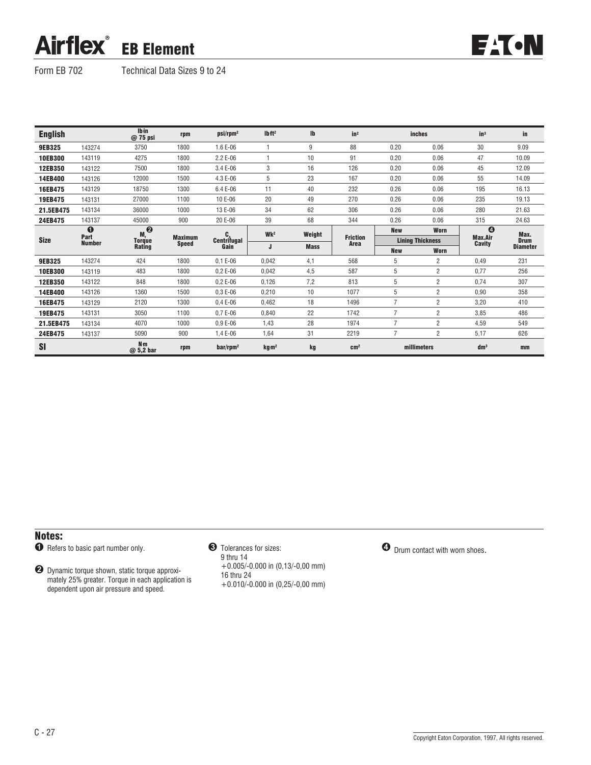### **Airflex®** EB Element

| <b>English</b> |                       | <b>Ibin</b><br>@ 75 psi     | rpm                            | psi/rpm <sup>2</sup>    | Ibft <sup>2</sup> | Ib          | in <sup>2</sup>         |                | inches                  | in <sup>3</sup>          | in              |
|----------------|-----------------------|-----------------------------|--------------------------------|-------------------------|-------------------|-------------|-------------------------|----------------|-------------------------|--------------------------|-----------------|
| 9EB325         | 143274                | 3750                        | 1800                           | 1.6 E-06                |                   | 9           | 88                      | 0.20           | 0.06                    | 30                       | 9.09            |
| 10EB300        | 143119                | 4275                        | 1800                           | 2.2 E-06                |                   | 10          | 91                      | 0.20           | 0.06                    | 47                       | 10.09           |
| 12EB350        | 143122                | 7500                        | 1800                           | 3.4 E-06                | 3                 | 16          | 126                     | 0.20           | 0.06                    | 45                       | 12.09           |
| 14EB400        | 143126                | 12000                       | 1500                           | 4.3 E-06                | 5                 | 23          | 167                     | 0.20           | 0.06                    | 55                       | 14.09           |
| 16EB475        | 143129                | 18750                       | 1300                           | 6.4 E-06                | 11                | 40          | 232                     | 0.26           | 0.06                    | 195                      | 16.13           |
| 19EB475        | 143131                | 27000                       | 1100                           | 10 E-06                 | 20                | 49          | 270                     | 0.26           | 0.06                    | 235                      | 19.13           |
| 21.5EB475      | 143134                | 36000                       | 1000                           | 13 E-06                 | 34                | 62          | 306                     | 0.26           | 0.06                    | 280                      | 21.63           |
| 24EB475        | 143137                | 45000                       | 900                            | 20 E-06                 | 39                | 68          | 344                     | 0.26           | 0.06                    | 315                      | 24.63           |
|                | $\bf{0}$              | M, Q                        |                                | C.                      | Wk <sup>2</sup>   | Weight      |                         | <b>New</b>     | Worn                    | $\boldsymbol{\Theta}$    | Max.            |
| <b>Size</b>    | Part<br><b>Number</b> | <b>Torque</b><br>Rating     | <b>Maximum</b><br><b>Speed</b> | Centritugal             |                   |             | <b>Friction</b><br>Area |                | <b>Lining Thickness</b> | <b>Max.Air</b><br>Cavity | <b>Drum</b>     |
|                |                       |                             |                                | Gain                    | J                 | <b>Mass</b> |                         | <b>New</b>     | <b>Worn</b>             |                          | <b>Diameter</b> |
| 9EB325         | 143274                | 424                         | 1800                           | $0.1 E-06$              | 0,042             | 4,1         | 568                     | 5              | $\overline{c}$          | 0,49                     | 231             |
| 10EB300        | 143119                | 483                         | 1800                           | $0.2 E - 06$            | 0,042             | 4,5         | 587                     | 5              | $\overline{c}$          | 0,77                     | 256             |
| 12EB350        | 143122                | 848                         | 1800                           | $0.2E - 06$             | 0,126             | 7,2         | 813                     | 5              | $\overline{c}$          | 0,74                     | 307             |
| 14EB400        | 143126                | 1360                        | 1500                           | $0.3E - 06$             | 0,210             | 10          | 1077                    | 5              | $\overline{2}$          | 0,90                     | 358             |
| 16EB475        | 143129                | 2120                        | 1300                           | $0.4E - 06$             | 0,462             | 18          | 1496                    |                | $\overline{c}$          | 3,20                     | 410             |
| 19EB475        | 143131                | 3050                        | 1100                           | $0.7E-06$               | 0,840             | 22          | 1742                    | $\overline{7}$ | $\overline{c}$          | 3,85                     | 486             |
| 21.5EB475      | 143134                | 4070                        | 1000                           | $0.9E - 06$             | 1,43              | 28          | 1974                    |                | $\overline{c}$          | 4,59                     | 549             |
| 24EB475        | 143137                | 5090                        | 900                            | 1,4 E-06                | 1,64              | 31          | 2219                    |                | $\overline{c}$          | 5,17                     | 626             |
| <b>SI</b>      |                       | N <sub>m</sub><br>@ 5,2 bar | rpm                            | $bar/$ rpm <sup>2</sup> | kg m <sup>2</sup> | kg          | cm <sup>2</sup>         |                | millimeters             | dm <sup>3</sup>          | mm              |

#### Notes:

 $\bullet$  Refers to basic part number only.

**2** Dynamic torque shown, static torque approximately 25% greater. Torque in each application is dependent upon air pressure and speed.



9 thru 14 +0.005/-0.000 in (0,13/-0,00 mm) 16 thru 24 +0.010/-0.000 in (0,25/-0,00 mm) **O** Drum contact with worn shoes.

**EATON**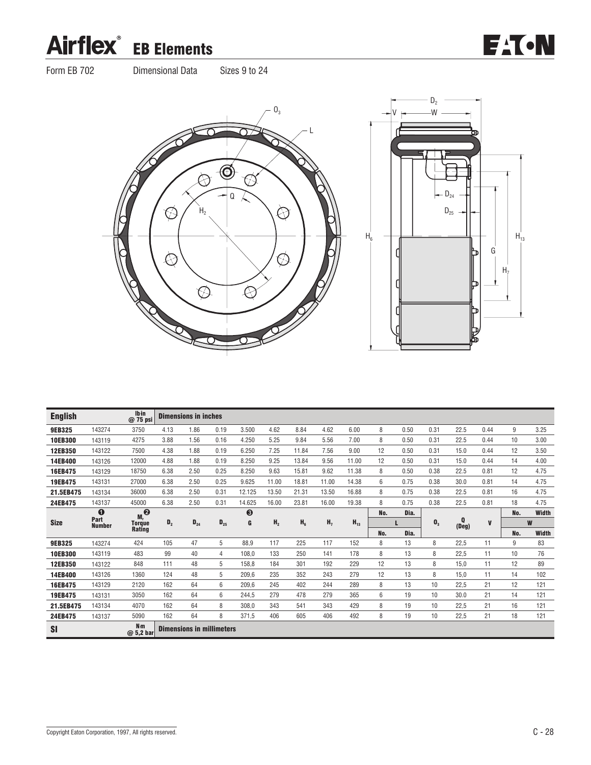## Airflex<sup>®</sup> EB Elements





| <b>English</b> |                       | <b>Ibin</b><br>@ 75 psi        |         | <b>Dimensions in inches</b>      |          |        |                |                |                |          |     |      |                 |                  |              |     |       |
|----------------|-----------------------|--------------------------------|---------|----------------------------------|----------|--------|----------------|----------------|----------------|----------|-----|------|-----------------|------------------|--------------|-----|-------|
| <b>9EB325</b>  | 143274                | 3750                           | 4.13    | 1.86                             | 0.19     | 3.500  | 4.62           | 8.84           | 4.62           | 6.00     | 8   | 0.50 | 0.31            | 22.5             | 0.44         | 9   | 3.25  |
| 10EB300        | 143119                | 4275                           | 3.88    | 1.56                             | 0.16     | 4.250  | 5.25           | 9.84           | 5.56           | 7.00     | 8   | 0.50 | 0.31            | 22.5             | 0.44         | 10  | 3.00  |
| 12EB350        | 143122                | 7500                           | 4.38    | 1.88                             | 0.19     | 6.250  | 7.25           | 11.84          | 7.56           | 9.00     | 12  | 0.50 | 0.31            | 15.0             | 0.44         | 12  | 3.50  |
| 14EB400        | 143126                | 12000                          | 4.88    | 1.88                             | 0.19     | 8.250  | 9.25           | 13.84          | 9.56           | 11.00    | 12  | 0.50 | 0.31            | 15.0             | 0.44         | 14  | 4.00  |
| 16EB475        | 143129                | 18750                          | 6.38    | 2.50                             | 0.25     | 8.250  | 9.63           | 15.81          | 9.62           | 11.38    | 8   | 0.50 | 0.38            | 22.5             | 0.81         | 12  | 4.75  |
| 19EB475        | 143131                | 27000                          | 6.38    | 2.50                             | 0.25     | 9.625  | 11.00          | 18.81          | 11.00          | 14.38    | 6   | 0.75 | 0.38            | 30.0             | 0.81         | 14  | 4.75  |
| 21.5EB475      | 143134                | 36000                          | 6.38    | 2.50                             | 0.31     | 12.125 | 13.50          | 21.31          | 13.50          | 16.88    | 8   | 0.75 | 0.38            | 22.5             | 0.81         | 16  | 4.75  |
| 24EB475        | 143137                | 45000                          | 6.38    | 2.50                             | 0.31     | 14.625 | 16.00          | 23.81          | 16.00          | 19.38    | 8   | 0.75 | 0.38            | 22.5             | 0.81         | 18  | 4.75  |
|                | ➊                     | $\boldsymbol{\Theta}$<br>$M_r$ |         |                                  |          | ❸      |                |                |                |          | No. | Dia. |                 |                  |              | No. | Width |
| <b>Size</b>    | Part<br><b>Number</b> | <b>Torque</b>                  | $D_{2}$ | $D_{24}$                         | $D_{25}$ | G      | H <sub>2</sub> | H <sub>6</sub> | H <sub>7</sub> | $H_{13}$ |     | ш    | $\mathbf{0}_3$  | 0<br>$($ Deg $)$ | $\mathbf{V}$ |     | W     |
|                |                       | <b>Rating</b>                  |         |                                  |          |        |                |                |                |          | No. | Dia. |                 |                  |              | No. | Width |
| 9EB325         | 143274                | 424                            | 105     | 47                               | 5        | 88,9   | 117            | 225            | 117            | 152      | 8   | 13   | 8               | 22,5             | 11           | 9   | 83    |
| 10EB300        | 143119                | 483                            | 99      | 40                               | 4        | 108.0  | 133            | 250            | 141            | 178      | 8   | 13   | 8               | 22,5             | 11           | 10  | 76    |
| 12EB350        | 143122                | 848                            | 111     | 48                               | 5        | 158.8  | 184            | 301            | 192            | 229      | 12  | 13   | 8               | 15.0             | 11           | 12  | 89    |
| 14EB400        | 143126                | 1360                           | 124     | 48                               | 5        | 209,6  | 235            | 352            | 243            | 279      | 12  | 13   | 8               | 15.0             | 11           | 14  | 102   |
| 16EB475        | 143129                | 2120                           | 162     | 64                               | 6        | 209,6  | 245            | 402            | 244            | 289      | 8   | 13   | 10              | 22,5             | 21           | 12  | 121   |
| 19EB475        | 143131                | 3050                           | 162     | 64                               | 6        | 244.5  | 279            | 478            | 279            | 365      | 6   | 19   | 10              | 30.0             | 21           | 14  | 121   |
| 21.5EB475      | 143134                | 4070                           | 162     | 64                               | 8        | 308,0  | 343            | 541            | 343            | 429      | 8   | 19   | 10              | 22,5             | 21           | 16  | 121   |
| 24EB475        | 143137                | 5090                           | 162     | 64                               | 8        | 371,5  | 406            | 605            | 406            | 492      | 8   | 19   | 10 <sup>1</sup> | 22,5             | 21           | 18  | 121   |
| <b>SI</b>      |                       | N <sub>m</sub><br>@ 5,2 bar    |         | <b>Dimensions in millimeters</b> |          |        |                |                |                |          |     |      |                 |                  |              |     |       |

**EATON**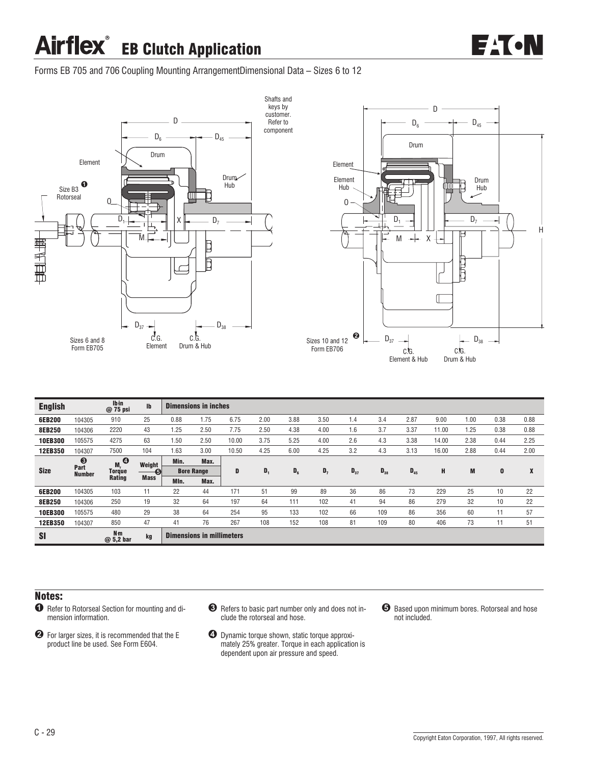## Airflex<sup>®</sup> EB Clutch Application



Forms EB 705 and 706 Coupling Mounting ArrangementDimensional Data – Sizes 6 to 12





| <b>English</b> |                       | lb in<br>$@75$ psi           | $\mathsf{I}^{\mathsf{b}}$ |      | <b>Dimensions in inches</b>      |       |      |       |       |          |          |          |       |      |          |      |
|----------------|-----------------------|------------------------------|---------------------------|------|----------------------------------|-------|------|-------|-------|----------|----------|----------|-------|------|----------|------|
| 6EB200         | 104305                | 910                          | 25                        | 0.88 | 1.75                             | 6.75  | 2.00 | 3.88  | 3.50  | 1.4      | 3.4      | 2.87     | 9.00  | 1.00 | 0.38     | 0.88 |
| 8EB250         | 104306                | 2220                         | 43                        | 1.25 | 2.50                             | 7.75  | 2.50 | 4.38  | 4.00  | 1.6      | 3.7      | 3.37     | 11.00 | 1.25 | 0.38     | 0.88 |
| 10EB300        | 105575                | 4275                         | 63                        | 1.50 | 2.50                             | 10.00 | 3.75 | 5.25  | 4.00  | 2.6      | 4.3      | 3.38     | 14.00 | 2.38 | 0.44     | 2.25 |
| 12EB350        | 104307                | 7500                         | 104                       | 1.63 | 3.00                             | 10.50 | 4.25 | 6.00  | 4.25  | 3.2      | 4.3      | 3.13     | 16.00 | 2.88 | 0.44     | 2.00 |
|                | ❸                     | $\boldsymbol{\Omega}$<br>M,  | Weight                    | Min. | Max.                             |       |      |       |       |          |          |          |       |      |          |      |
| <b>Size</b>    | Part<br><b>Number</b> | <b>Torque</b>                | 6                         |      | <b>Bore Range</b>                | D     | D,   | $D_6$ | $D_7$ | $D_{37}$ | $D_{38}$ | $D_{45}$ | H     | M    | $\bf{0}$ | л.   |
|                |                       | <b>Rating</b>                | <b>Mass</b>               | MIn. | Max.                             |       |      |       |       |          |          |          |       |      |          |      |
| 6EB200         | 104305                | 103                          | 11                        | 22   | 44                               | 171   | 51   | 99    | 89    | 36       | 86       | 73       | 229   | 25   | 10       | 22   |
| <b>8EB250</b>  | 104306                | 250                          | 19                        | 32   | 64                               | 197   | 64   | 111   | 102   | 41       | 94       | 86       | 279   | 32   | 10       | 22   |
| 10EB300        | 105575                | 480                          | 29                        | 38   | 64                               | 254   | 95   | 133   | 102   | 66       | 109      | 86       | 356   | 60   | 11       | 57   |
| 12EB350        | 104307                | 850                          | 47                        | 41   | 76                               | 267   | 108  | 152   | 108   | 81       | 109      | 80       | 406   | 73   | 11       | 51   |
| <b>SI</b>      |                       | N <sub>m</sub><br>$@5,2$ bar | kg                        |      | <b>Dimensions in millimeters</b> |       |      |       |       |          |          |          |       |      |          |      |

#### Notes:

- $\bullet$  Refer to Rotorseal Section for mounting and dimension information.
- $\bullet$  For larger sizes, it is recommended that the E product line be used. See Form E604.
- ! Refers to basic part number only and does not include the rotorseal and hose.
- $\bullet$  Dynamic torque shown, static torque approximately 25% greater. Torque in each application is dependent upon air pressure and speed.
- **6** Based upon minimum bores. Rotorseal and hose not included.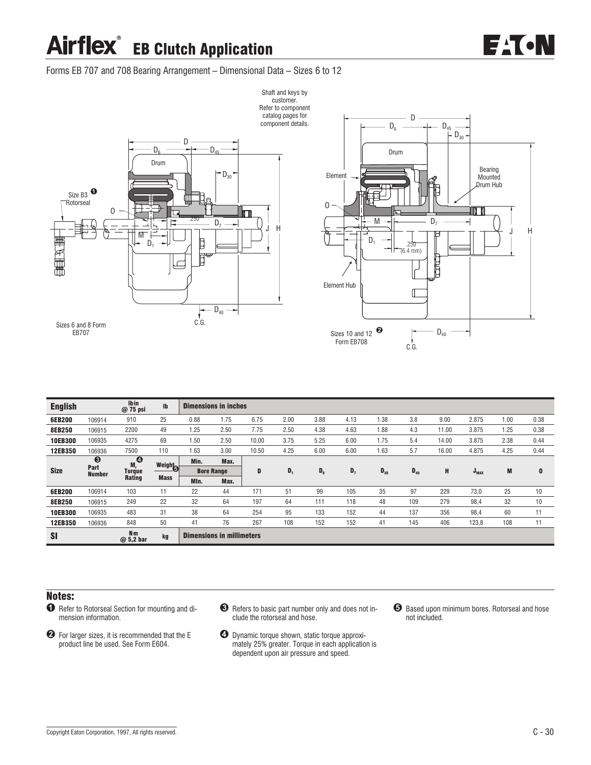## Airflex<sup>®</sup> EB Clutch Application



Forms EB 707 and 708 Bearing Arrangement – Dimensional Data – Sizes 6 to 12



| <b>English</b> |                       | <b>Ibin</b><br>@ 75 psi      | $\mathsf{I}$        |      | <b>Dimensions in inches</b>      |       |       |       |                |          |          |       |           |      |          |
|----------------|-----------------------|------------------------------|---------------------|------|----------------------------------|-------|-------|-------|----------------|----------|----------|-------|-----------|------|----------|
| 6EB200         | 106914                | 910                          | 25                  | 0.88 | 1.75                             | 6.75  | 2.00  | 3.88  | 4.13           | 1.38     | 3.8      | 9.00  | 2.875     | 1.00 | 0.38     |
| 8EB250         | 106915                | 2200                         | 49                  | 1.25 | 2.50                             | 7.75  | 2.50  | 4.38  | 4.63           | 1.88     | 4.3      | 11.00 | 3.875     | 1.25 | 0.38     |
| 10EB300        | 106935                | 4275                         | 69                  | 1.50 | 2.50                             | 10.00 | 3.75  | 5.25  | 6.00           | 1.75     | 5.4      | 14.00 | 3.875     | 2.38 | 0.44     |
| 12EB350        | 106936                | 7500                         | 110                 | 1.63 | 3.00                             | 10.50 | 4.25  | 6.00  | 6.00           | 1.63     | 5.7      | 16.00 | 4.875     | 4.25 | 0.44     |
|                | ❸                     | $\boldsymbol{\Theta}$<br>M,  |                     | Min. | Max.                             |       |       |       |                |          |          |       |           |      |          |
| <b>Size</b>    | Part<br><b>Number</b> | <b>Torque</b>                | Weight <sub>o</sub> |      | <b>Bore Range</b>                | D     | $D_1$ | $D_6$ | D <sub>7</sub> | $D_{30}$ | $D_{40}$ | H     | $J_{MAX}$ | M    | $\bf{0}$ |
|                |                       | Rating                       | <b>Mass</b>         | MIn. | Max.                             |       |       |       |                |          |          |       |           |      |          |
| 6EB200         | 106914                | 103                          | 11                  | 22   | 44                               | 171   | 51    | 99    | 105            | 35       | 97       | 229   | 73,0      | 25   | 10       |
| 8EB250         | 106915                | 249                          | 22                  | 32   | 64                               | 197   | 64    | 111   | 118            | 48       | 109      | 279   | 98,4      | 32   | 10       |
| 10EB300        | 106935                | 483                          | 31                  | 38   | 64                               | 254   | 95    | 133   | 152            | 44       | 137      | 356   | 98,4      | 60   | 11       |
| 12EB350        | 106936                | 848                          | 50                  | 41   | 76                               | 267   | 108   | 152   | 152            | 41       | 145      | 406   | 123,8     | 108  | 11       |
| <b>SI</b>      |                       | N <sub>m</sub><br>$@5,2$ bar | kg                  |      | <b>Dimensions in millimeters</b> |       |       |       |                |          |          |       |           |      |          |

Notes:

- $\bullet$  Refer to Rotorseal Section for mounting and dimension information.
- $\bullet$  For larger sizes, it is recommended that the E product line be used. See Form E604.
- ! Refers to basic part number only and does not include the rotorseal and hose.
- $\bullet$  Dynamic torque shown, static torque approximately 25% greater. Torque in each application is dependent upon air pressure and speed.
- **6** Based upon minimum bores. Rotorseal and hose not included.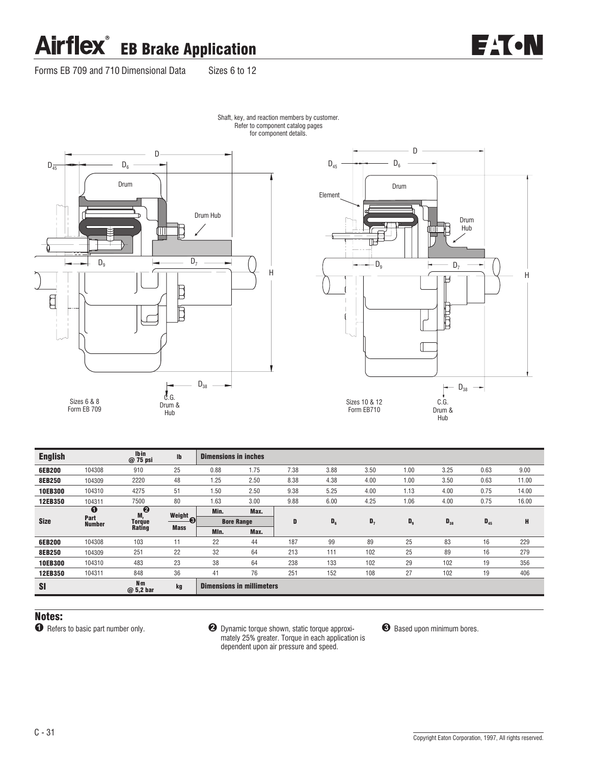### Airflex<sup>®</sup> EB Brake Application



Forms EB 709 and 710 Dimensional Data Sizes 6 to 12







| <b>English</b> |                       | <b>Ibin</b><br>$@75$ psi     | <b>Ib</b>           | <b>Dimensions in inches</b> |                                  |      |       |       |         |          |          |       |
|----------------|-----------------------|------------------------------|---------------------|-----------------------------|----------------------------------|------|-------|-------|---------|----------|----------|-------|
| 6EB200         | 104308                | 910                          | 25                  | 0.88                        | 1.75                             | 7.38 | 3.88  | 3.50  | 1.00    | 3.25     | 0.63     | 9.00  |
| 8EB250         | 104309                | 2220                         | 48                  | 1.25                        | 2.50                             | 8.38 | 4.38  | 4.00  | 1.00    | 3.50     | 0.63     | 11.00 |
| 10EB300        | 104310                | 4275                         | 51                  | 1.50                        | 2.50                             | 9.38 | 5.25  | 4.00  | 1.13    | 4.00     | 0.75     | 14.00 |
| 12EB350        | 104311                | 7500                         | 80                  | 1.63                        | 3.00                             | 9.88 | 6.00  | 4.25  | 1.06    | 4.00     | 0.75     | 16.00 |
|                | $\bf{0}$              | ❷<br>M,                      |                     | Min.                        | Max.                             |      |       |       |         |          |          |       |
| <b>Size</b>    | Part<br><b>Number</b> | <b>Torque</b>                | Weight <sub>o</sub> |                             | <b>Bore Range</b>                | D    | $D_6$ | $D_7$ | $D_{9}$ | $D_{38}$ | $D_{45}$ | H     |
|                |                       | Rating                       | <b>Mass</b>         | MIn.                        | Max.                             |      |       |       |         |          |          |       |
| 6EB200         | 104308                | 103                          | 11                  | 22                          | 44                               | 187  | 99    | 89    | 25      | 83       | 16       | 229   |
| 8EB250         | 104309                | 251                          | 22                  | 32                          | 64                               | 213  | 111   | 102   | 25      | 89       | 16       | 279   |
| <b>10EB300</b> | 104310                | 483                          | 23                  | 38                          | 64                               | 238  | 133   | 102   | 29      | 102      | 19       | 356   |
| 12EB350        | 104311                | 848                          | 36                  | 41                          | 76                               | 251  | 152   | 108   | 27      | 102      | 19       | 406   |
| <b>SI</b>      |                       | N <sub>m</sub><br>$@5,2$ bar | kg                  |                             | <b>Dimensions in millimeters</b> |      |       |       |         |          |          |       |

Notes:<br> **O** Refers to basic part number only.

 $\Theta$  Dynamic torque shown, static torque approximately 25% greater. Torque in each application is dependent upon air pressure and speed.

<sup>8</sup> Based upon minimum bores.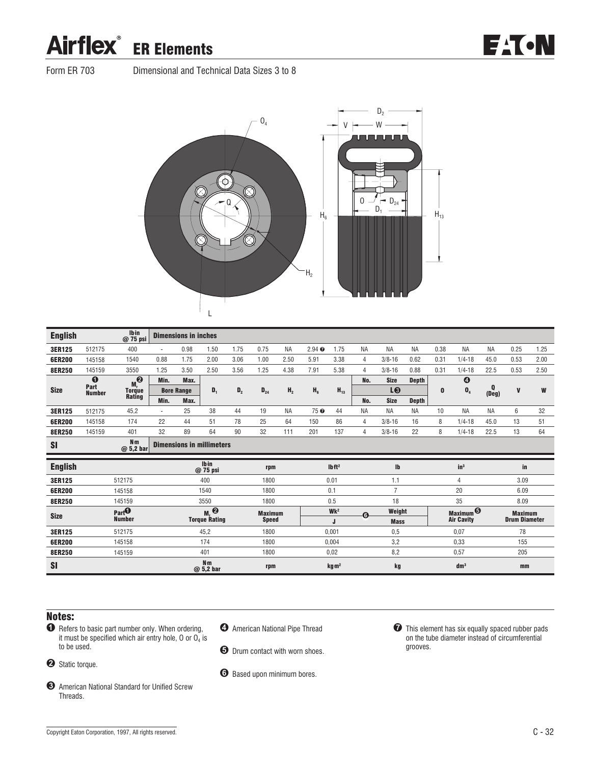#### **Airflex®** ER Elements

**EACN** 

Form ER 703 Dimensional and Technical Data Sizes 3 to 8



| <b>English</b> |                       | Ibin<br>@ 75 psi            |                          | <b>Dimensions in inches</b>      |                             |       |                |                |                |                   |                |                |              |          |                       |            |                      |      |
|----------------|-----------------------|-----------------------------|--------------------------|----------------------------------|-----------------------------|-------|----------------|----------------|----------------|-------------------|----------------|----------------|--------------|----------|-----------------------|------------|----------------------|------|
| 3ER125         | 512175                | 400                         | $\overline{\phantom{a}}$ | 0.98                             | 1.50                        | 1.75  | 0.75           | <b>NA</b>      | $2.94 \odot$   | 1.75              | <b>NA</b>      | <b>NA</b>      | <b>NA</b>    | 0.38     | <b>NA</b>             | <b>NA</b>  | 0.25                 | 1.25 |
| 6ER200         | 145158                | 1540                        | 0.88                     | 1.75                             | 2.00                        | 3.06  | 1.00           | 2.50           | 5.91           | 3.38              | 4              | $3/8 - 16$     | 0.62         | 0.31     | $1/4 - 18$            | 45.0       | 0.53                 | 2.00 |
| <b>8ER250</b>  | 145159                | 3550                        | 1.25                     | 3.50                             | 2.50                        | 3.56  | 1.25           | 4.38           | 7.91           | 5.38              | $\overline{4}$ | $3/8 - 16$     | 0.88         | 0.31     | $1/4 - 18$            | 22.5       | 0.53                 | 2.50 |
|                | $\bf{o}$              | $M_t$ <sup>2</sup>          | Min.                     | Max.                             |                             |       |                |                |                |                   | No.            | <b>Size</b>    | <b>Depth</b> |          | $\boldsymbol{\Theta}$ |            |                      |      |
| <b>Size</b>    | Part<br><b>Number</b> | <b>Torque</b><br>Rating     |                          | <b>Bore Range</b>                | $D_1$                       | $D_2$ | $D_{24}$       | H <sub>2</sub> | H <sub>6</sub> | $H_{13}$          |                | L <sub>®</sub> |              | $\bf{0}$ | $\mathbf{0}_4$        | Q<br>(Deg) | $\mathbf{V}$         | W    |
|                |                       |                             | Min.                     | Max.                             |                             |       |                |                |                |                   | No.            | <b>Size</b>    | <b>Depth</b> |          |                       |            |                      |      |
| 3ER125         | 512175                | 45,2                        | $\overline{\phantom{a}}$ | 25                               | 38                          | 44    | 19             | <b>NA</b>      | 75 ◎           | 44                | <b>NA</b>      | <b>NA</b>      | <b>NA</b>    | 10       | <b>NA</b>             | <b>NA</b>  | 6                    | 32   |
| 6ER200         | 145158                | 174                         | 22                       | 44                               | 51                          | 78    | 25             | 64             | 150            | 86                | $\overline{4}$ | $3/8 - 16$     | 16           | 8        | $1/4 - 18$            | 45.0       | 13                   | 51   |
| 8ER250         | 145159                | 401                         | 32                       | 89                               | 64                          | 90    | 32             | 111            | 201            | 137               | $\overline{4}$ | $3/8 - 16$     | 22           | 8        | $1/4 - 18$            | 22.5       | 13                   | 64   |
| <b>SI</b>      |                       | N <sub>m</sub><br>@ 5,2 bar |                          | <b>Dimensions in millimeters</b> |                             |       |                |                |                |                   |                |                |              |          |                       |            |                      |      |
| <b>English</b> |                       |                             |                          |                                  | <b>Ibin</b><br>@ 75 psi     |       | rpm            |                |                | Ibft <sup>2</sup> |                | Ib             |              |          | in <sup>3</sup>       |            | in                   |      |
| 3ER125         |                       | 512175                      |                          |                                  | 400                         |       | 1800           |                |                | 0.01              |                | 1.1            |              |          | $\overline{4}$        |            | 3.09                 |      |
| 6ER200         |                       | 145158                      |                          |                                  | 1540                        |       | 1800           |                |                | 0.1               |                | $\overline{7}$ |              |          | 20                    |            | 6.09                 |      |
| 8ER250         |                       | 145159                      |                          |                                  | 3550                        |       | 1800           |                |                | 0.5               |                | 18             |              |          | 35                    |            | 8.09                 |      |
|                |                       | Part <sup>O</sup>           |                          |                                  | M, 8                        |       | <b>Maximum</b> |                |                | Wk <sup>2</sup>   | 0              | Weight         |              |          | Maximum <sup>6</sup>  |            | <b>Maximum</b>       |      |
| <b>Size</b>    |                       | <b>Number</b>               |                          |                                  | <b>Torque Rating</b>        |       | <b>Speed</b>   |                |                | J                 |                | <b>Mass</b>    |              |          | <b>Air Cavity</b>     |            | <b>Drum Diameter</b> |      |
| 3ER125         |                       | 512175                      |                          |                                  | 45,2                        |       | 1800           |                |                | 0.001             |                | 0.5            |              |          | 0,07                  |            | 78                   |      |
| 6ER200         |                       | 145158                      |                          |                                  | 174                         |       | 1800           |                |                | 0,004             |                | 3,2            |              |          | 0,33                  |            | 155                  |      |
| 8ER250         |                       | 145159                      |                          |                                  | 401                         |       | 1800           |                |                | 0,02              |                | 8,2            |              |          | 0,57                  |            | 205                  |      |
| <b>SI</b>      |                       |                             |                          |                                  | N <sub>m</sub><br>@ 5,2 bar |       | rpm            |                |                | kg m <sup>2</sup> |                | kg             |              |          | dm <sup>3</sup>       |            | mm                   |      |

#### Notes:

- $\bullet$  Refers to basic part number only. When ordering, it must be specified which air entry hole, O or  ${\mathsf O}_4$  is to be used.
- <sup>2</sup> Static torque.
- **3** American National Standard for Unified Screw Threads.
- **4** American National Pipe Thread
- **6** Drum contact with worn shoes.
- $\bullet$  Based upon minimum bores.

 $\bullet$  This element has six equally spaced rubber pads on the tube diameter instead of circumferential grooves.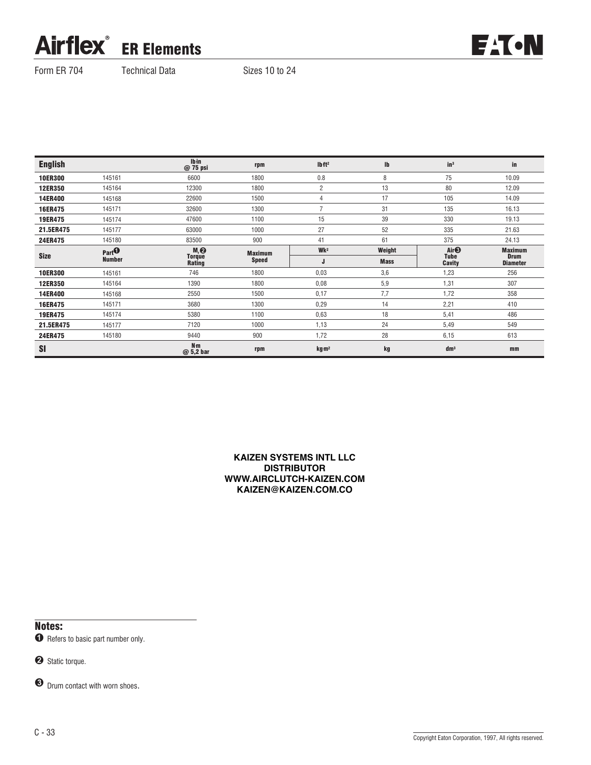### **Airflex**<sup>®</sup> ER Elements



Form ER 704 Technical Data Sizes 10 to 24

| <b>English</b> |                   | <b>Ibin</b><br>@ 75 psi            | rpm            | Ibft <sup>2</sup> | $\mathsf{I}\mathsf{b}$ | in <sup>3</sup>       | in                             |
|----------------|-------------------|------------------------------------|----------------|-------------------|------------------------|-----------------------|--------------------------------|
| <b>10ER300</b> | 145161            | 6600                               | 1800           | 0.8               | 8                      | 75                    | 10.09                          |
| <b>12ER350</b> | 145164            | 12300                              | 1800           | 2                 | 13                     | 80                    | 12.09                          |
| 14ER400        | 145168            | 22600                              | 1500           | 4                 | 17                     | 105                   | 14.09                          |
| <b>16ER475</b> | 145171            | 32600                              | 1300           | 7                 | 31                     | 135                   | 16.13                          |
| <b>19ER475</b> | 145174            | 47600                              | 1100           | 15                | 39                     | 330                   | 19.13                          |
| 21.5ER475      | 145177            | 63000                              | 1000           | 27                | 52                     | 335                   | 21.63                          |
| 24ER475        | 145180            | 83500                              | 900            | 41                | 61                     | 375                   | 24.13                          |
|                | Part <sup>0</sup> |                                    | <b>Maximum</b> | Wk <sup>2</sup>   | Weight                 | Air <sup>O</sup>      | <b>Maximum</b>                 |
| <b>Size</b>    | <b>Number</b>     | M <sub>r</sub><br>Torque<br>Rating | <b>Speed</b>   | J                 | <b>Mass</b>            | <b>Tube</b><br>Cavity | <b>Drum</b><br><b>Diameter</b> |
| <b>10ER300</b> | 145161            | 746                                | 1800           | 0.03              | 3,6                    | 1,23                  | 256                            |
| <b>12ER350</b> | 145164            | 1390                               | 1800           | 0,08              | 5,9                    | 1,31                  | 307                            |
| 14ER400        | 145168            | 2550                               | 1500           | 0,17              | 7,7                    | 1,72                  | 358                            |
| <b>16ER475</b> | 145171            | 3680                               | 1300           | 0,29              | 14                     | 2,21                  | 410                            |
| <b>19ER475</b> | 145174            | 5380                               | 1100           | 0,63              | 18                     | 5,41                  | 486                            |
| 21.5ER475      | 145177            | 7120                               | 1000           | 1,13              | 24                     | 5,49                  | 549                            |
| 24ER475        | 145180            | 9440                               | 900            | 1,72              | 28                     | 6,15                  | 613                            |
| <b>SI</b>      |                   | N <sub>m</sub><br>@ 5,2 bar        | rpm            | kg m <sup>2</sup> | kg                     | dm <sup>3</sup>       | mm                             |

#### **KAIZEN SYSTEMS INTL LLC DISTRIBUTOR WWW.AIRCLUTCH-KAIZEN.COM KAIZEN@KAIZEN.COM.CO**

#### Notes:

- **O** Refers to basic part number only.
- <sup>2</sup> Static torque.
- **8** Drum contact with worn shoes.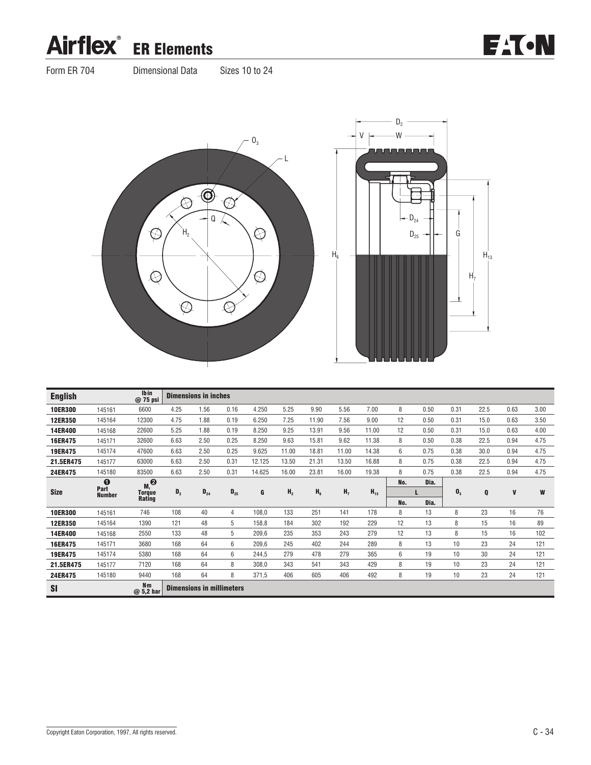## **Airflex**<sup>®</sup> ER Elements

Form ER 704 Dimensional Data Sizes 10 to 24



| <b>English</b> |                       | Ib in<br>@ 75 psi              |         | <b>Dimensions in inches</b>      |          |        |                |       |                |          |     |      |                |      |      |      |
|----------------|-----------------------|--------------------------------|---------|----------------------------------|----------|--------|----------------|-------|----------------|----------|-----|------|----------------|------|------|------|
| <b>10ER300</b> | 145161                | 6600                           | 4.25    | 1.56                             | 0.16     | 4.250  | 5.25           | 9.90  | 5.56           | 7.00     | 8   | 0.50 | 0.31           | 22.5 | 0.63 | 3.00 |
| <b>12ER350</b> | 145164                | 12300                          | 4.75    | 1.88                             | 0.19     | 6.250  | 7.25           | 11.90 | 7.56           | 9.00     | 12  | 0.50 | 0.31           | 15.0 | 0.63 | 3.50 |
| 14ER400        | 145168                | 22600                          | 5.25    | 1.88                             | 0.19     | 8.250  | 9.25           | 13.91 | 9.56           | 11.00    | 12  | 0.50 | 0.31           | 15.0 | 0.63 | 4.00 |
| 16ER475        | 145171                | 32600                          | 6.63    | 2.50                             | 0.25     | 8.250  | 9.63           | 15.81 | 9.62           | 11.38    | 8   | 0.50 | 0.38           | 22.5 | 0.94 | 4.75 |
| <b>19ER475</b> | 145174                | 47600                          | 6.63    | 2.50                             | 0.25     | 9.625  | 11.00          | 18.81 | 11.00          | 14.38    | 6   | 0.75 | 0.38           | 30.0 | 0.94 | 4.75 |
| 21.5ER475      | 145177                | 63000                          | 6.63    | 2.50                             | 0.31     | 12.125 | 13.50          | 21.31 | 13.50          | 16.88    | 8   | 0.75 | 0.38           | 22.5 | 0.94 | 4.75 |
| 24ER475        | 145180                | 83500                          | 6.63    | 2.50                             | 0.31     | 14.625 | 16.00          | 23.81 | 16.00          | 19.38    | 8   | 0.75 | 0.38           | 22.5 | 0.94 | 4.75 |
|                | $\bf{0}$              | $\boldsymbol{\Theta}$<br>$M_r$ |         |                                  |          |        |                |       |                |          | No. | Dia. |                |      |      |      |
| <b>Size</b>    | Part<br><b>Number</b> | Torque                         | $D_{2}$ | $D_{24}$                         | $D_{25}$ | G      | H <sub>2</sub> | $H_6$ | H <sub>7</sub> | $H_{13}$ |     |      | $\mathbf{0}_3$ | Q    | V    | W    |
|                |                       | Rating                         |         |                                  |          |        |                |       |                |          | No. | Dia. |                |      |      |      |
| <b>10ER300</b> | 145161                | 746                            | 108     | 40                               | 4        | 108,0  | 133            | 251   | 141            | 178      | 8   | 13   | 8              | 23   | 16   | 76   |
| <b>12ER350</b> | 145164                | 1390                           | 121     | 48                               | 5        | 158,8  | 184            | 302   | 192            | 229      | 12  | 13   | 8              | 15   | 16   | 89   |
| 14ER400        | 145168                | 2550                           | 133     | 48                               | 5        | 209,6  | 235            | 353   | 243            | 279      | 12  | 13   | 8              | 15   | 16   | 102  |
| 16ER475        | 145171                | 3680                           | 168     | 64                               | 6        | 209,6  | 245            | 402   | 244            | 289      | 8   | 13   | 10             | 23   | 24   | 121  |
| 19ER475        | 145174                | 5380                           | 168     | 64                               | 6        | 244,5  | 279            | 478   | 279            | 365      | 6   | 19   | 10             | 30   | 24   | 121  |
| 21.5ER475      | 145177                | 7120                           | 168     | 64                               | 8        | 308,0  | 343            | 541   | 343            | 429      | 8   | 19   | 10             | 23   | 24   | 121  |
| 24ER475        | 145180                | 9440                           | 168     | 64                               | 8        | 371,5  | 406            | 605   | 406            | 492      | 8   | 19   | 10             | 23   | 24   | 121  |
| SI             |                       | N <sub>m</sub><br>@ 5,2 bar    |         | <b>Dimensions in millimeters</b> |          |        |                |       |                |          |     |      |                |      |      |      |

**EATON**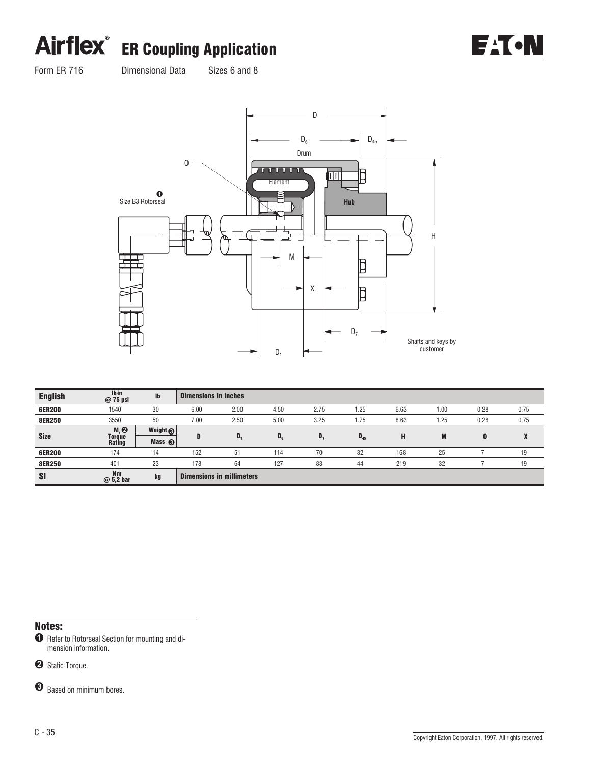# Airflex<sup>®</sup> ER Coupling Application





| <b>English</b> | Ibin<br>$@75$ psi               | <b>Ib</b>                                | <b>Dimensions in inches</b> |                                  |                |       |          |      |      |              |                              |
|----------------|---------------------------------|------------------------------------------|-----------------------------|----------------------------------|----------------|-------|----------|------|------|--------------|------------------------------|
| 6ER200         | 1540                            | 30                                       | 6.00                        | 2.00                             | 4.50           | 2.75  | 1.25     | 6.63 | 1.00 | 0.28         | 0.75                         |
| <b>8ER250</b>  | 3550                            | 50                                       | 7.00                        | 2.50                             | 5.00           | 3.25  | 1.75     | 8.63 | 1.25 | 0.28         | 0.75                         |
| <b>Size</b>    | M, Q<br><b>Torque</b><br>Rating | Weight $\bigotimes$<br>Mass $\bigotimes$ | D                           | D <sub>1</sub>                   | D <sub>6</sub> | $D_7$ | $D_{45}$ | н    | M    | $\mathbf{0}$ | $\mathbf{w}$<br>$\mathbf{A}$ |
| <b>6ER200</b>  | 174                             | 14                                       | 152                         | 51                               | 114            | 70    | 32       | 168  | 25   |              | 19                           |
| <b>8ER250</b>  | 401                             | 23                                       | 178                         | 64                               | 127            | 83    | 44       | 219  | 32   |              | 19                           |
| <b>SI</b>      | N <sub>m</sub><br>$@5,2$ bar    | kg                                       |                             | <b>Dimensions in millimeters</b> |                |       |          |      |      |              |                              |

#### Notes:

 $\bullet$  Refer to Rotorseal Section for mounting and dimension information.

<sup>2</sup> Static Torque.

<sup>8</sup> Based on minimum bores.

**EAT-N**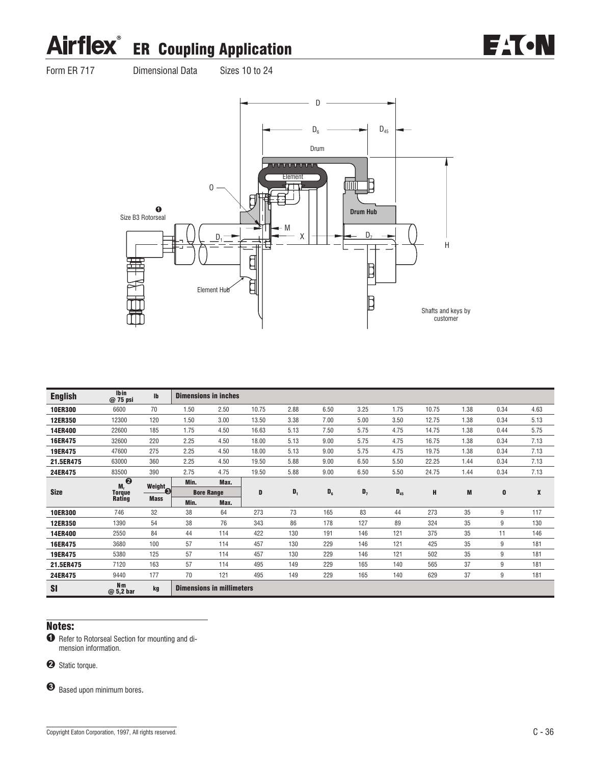# Airflex<sup>®</sup> ER Coupling Application



#### Form ER 717 Dimensional Data Sizes 10 to 24



| <b>English</b> | <b>Ibin</b><br>@ 75 psi     | Ib                  |                   | <b>Dimensions in inches</b>      |       |       |       |       |          |       |      |              |      |
|----------------|-----------------------------|---------------------|-------------------|----------------------------------|-------|-------|-------|-------|----------|-------|------|--------------|------|
| <b>10ER300</b> | 6600                        | 70                  | 1.50              | 2.50                             | 10.75 | 2.88  | 6.50  | 3.25  | 1.75     | 10.75 | 1.38 | 0.34         | 4.63 |
| <b>12ER350</b> | 12300                       | 120                 | 1.50              | 3.00                             | 13.50 | 3.38  | 7.00  | 5.00  | 3.50     | 12.75 | 1.38 | 0.34         | 5.13 |
| 14ER400        | 22600                       | 185                 | 1.75              | 4.50                             | 16.63 | 5.13  | 7.50  | 5.75  | 4.75     | 14.75 | 1.38 | 0.44         | 5.75 |
| <b>16ER475</b> | 32600                       | 220                 | 2.25              | 4.50                             | 18.00 | 5.13  | 9.00  | 5.75  | 4.75     | 16.75 | 1.38 | 0.34         | 7.13 |
| 19ER475        | 47600                       | 275                 | 2.25              | 4.50                             | 18.00 | 5.13  | 9.00  | 5.75  | 4.75     | 19.75 | 1.38 | 0.34         | 7.13 |
| 21.5ER475      | 63000                       | 360                 | 2.25              | 4.50                             | 19.50 | 5.88  | 9.00  | 6.50  | 5.50     | 22.25 | 1.44 | 0.34         | 7.13 |
| 24ER475        | 83500                       | 390                 | 2.75              | 4.75                             | 19.50 | 5.88  | 9.00  | 6.50  | 5.50     | 24.75 | 1.44 | 0.34         | 7.13 |
|                | $\boldsymbol{Q}$<br>$M_r$   |                     | Min.              | Max.                             |       |       |       |       |          |       |      |              |      |
| <b>Size</b>    | <b>Torque</b>               | Weight <sub>o</sub> | <b>Bore Range</b> |                                  | D     | $D_1$ | $D_6$ | $D_7$ | $D_{45}$ | H     | M    | $\mathbf{0}$ | X    |
|                | Rating                      | <b>Mass</b>         | Min.              | Max.                             |       |       |       |       |          |       |      |              |      |
| <b>10ER300</b> | 746                         | 32                  | 38                | 64                               | 273   | 73    | 165   | 83    | 44       | 273   | 35   | 9            | 117  |
| <b>12ER350</b> | 1390                        | 54                  | 38                | 76                               | 343   | 86    | 178   | 127   | 89       | 324   | 35   | 9            | 130  |
| <b>14ER400</b> | 2550                        | 84                  | 44                | 114                              | 422   | 130   | 191   | 146   | 121      | 375   | 35   | 11           | 146  |
| <b>16ER475</b> | 3680                        | 100                 | 57                | 114                              | 457   | 130   | 229   | 146   | 121      | 425   | 35   | 9            | 181  |
| <b>19ER475</b> | 5380                        | 125                 | 57                | 114                              | 457   | 130   | 229   | 146   | 121      | 502   | 35   | 9            | 181  |
| 21.5ER475      | 7120                        | 163                 | 57                | 114                              | 495   | 149   | 229   | 165   | 140      | 565   | 37   | 9            | 181  |
| 24ER475        | 9440                        | 177                 | 70                | 121                              | 495   | 149   | 229   | 165   | 140      | 629   | 37   | 9            | 181  |
| <b>SI</b>      | N <sub>m</sub><br>@ 5,2 bar | kg                  |                   | <b>Dimensions in millimeters</b> |       |       |       |       |          |       |      |              |      |

#### Notes:

 $\bullet$  Refer to Rotorseal Section for mounting and dimension information.

<sup>2</sup> Static torque.

<sup>8</sup> Based upon minimum bores.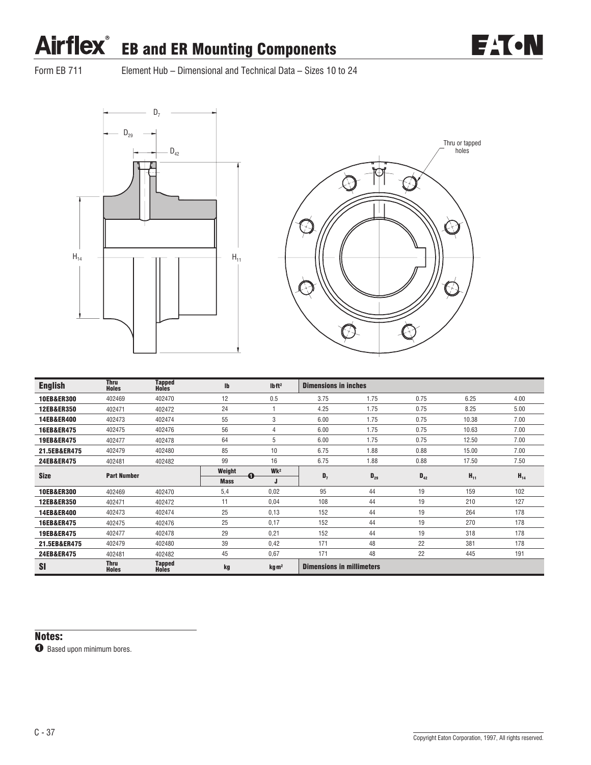# Airflex<sup>®</sup> EB and ER Mounting Components

Form EB 711 Element Hub – Dimensional and Technical Data – Sizes 10 to 24





**EAT-N** 

| <b>English</b>        | <b>Thru</b><br><b>Holes</b> | <b>Tapped</b><br><b>Holes</b> | $\mathsf{I}\mathsf{b}$ | Ibft <sup>2</sup> | <b>Dimensions in inches</b>      |          |          |          |          |  |
|-----------------------|-----------------------------|-------------------------------|------------------------|-------------------|----------------------------------|----------|----------|----------|----------|--|
| <b>10EB&amp;ER300</b> | 402469                      | 402470                        | 12                     | 0.5               | 3.75                             | 1.75     | 0.75     | 6.25     | 4.00     |  |
| <b>12EB&amp;ER350</b> | 402471                      | 402472                        | 24                     |                   | 4.25                             | 1.75     | 0.75     | 8.25     | 5.00     |  |
| 14EB&ER400            | 402473                      | 402474                        | 55                     | 3                 | 6.00                             | 1.75     | 0.75     | 10.38    | 7.00     |  |
| 16EB&ER475            | 402475                      | 402476                        | 56                     | 4                 | 6.00                             | 1.75     | 0.75     | 10.63    | 7.00     |  |
| 19EB&ER475            | 402477                      | 402478                        | 64                     | 5                 | 6.00                             | 1.75     | 0.75     | 12.50    | 7.00     |  |
| 21.5EB&ER475          | 402479                      | 402480                        | 85                     | 10                | 6.75                             | 1.88     | 0.88     | 15.00    | 7.00     |  |
| 24EB&ER475            | 402481                      | 402482                        | 99                     | 16                | 6.75                             | 1.88     | 0.88     | 17.50    | 7.50     |  |
| <b>Size</b>           | <b>Part Number</b>          |                               | Weight<br>$\bullet$    | Wk <sup>2</sup>   | $D_7$                            | $D_{29}$ | $D_{42}$ | $H_{11}$ | $H_{14}$ |  |
|                       |                             |                               | <b>Mass</b>            |                   |                                  |          |          |          |          |  |
| <b>10EB&amp;ER300</b> | 402469                      | 402470                        | 5,4                    | 0,02              | 95                               | 44       | 19       | 159      | 102      |  |
| <b>12EB&amp;ER350</b> | 402471                      | 402472                        | 11                     | 0,04              | 108                              | 44       | 19       | 210      | 127      |  |
| 14EB&ER400            | 402473                      | 402474                        | 25                     | 0,13              | 152                              | 44       | 19       | 264      | 178      |  |
| 16EB&ER475            | 402475                      | 402476                        | 25                     | 0,17              | 152                              | 44       | 19       | 270      | 178      |  |
| 19EB&ER475            | 402477                      | 402478                        | 29                     | 0,21              | 152                              | 44       | 19       | 318      | 178      |  |
| 21.5EB&ER475          | 402479                      | 402480                        | 39                     | 0,42              | 171                              | 48       | 22       | 381      | 178      |  |
| 24EB&ER475            | 402481                      | 402482                        | 45                     | 0,67              | 171                              | 48       | 22       | 445      | 191      |  |
| <b>SI</b>             | <b>Thru</b><br><b>Holes</b> | <b>Tapped</b><br><b>Holes</b> | kg                     | kg m <sup>2</sup> | <b>Dimensions in millimeters</b> |          |          |          |          |  |

#### Notes:

 $\bullet$  Based upon minimum bores.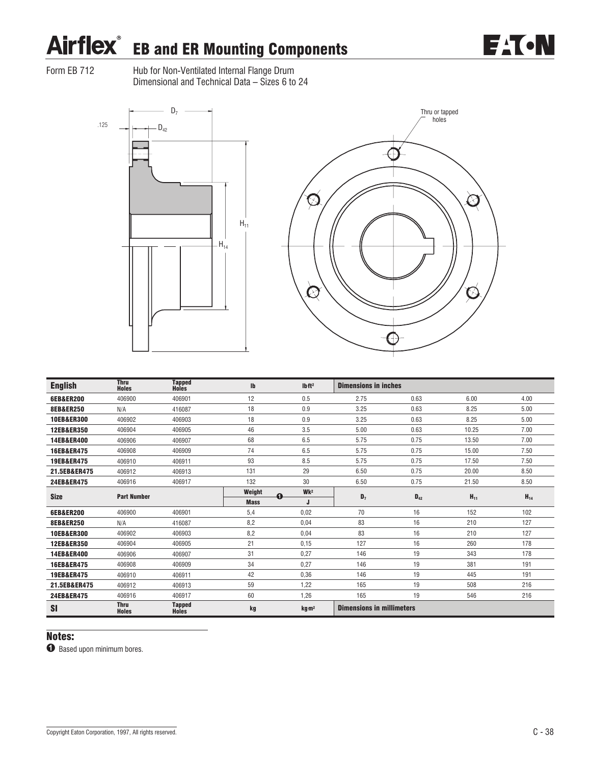# Airflex<sup>®</sup> EB and ER Mounting Components



Form EB 712 Hub for Non-Ventilated Internal Flange Drum Dimensional and Technical Data – Sizes 6 to 24



| <b>English</b>        | <b>Thru</b><br><b>Holes</b> | <b>Tapped</b><br>Holes | Ib          | Ibft <sup>2</sup> | <b>Dimensions in inches</b>      |          |          |          |
|-----------------------|-----------------------------|------------------------|-------------|-------------------|----------------------------------|----------|----------|----------|
| 6EB&ER200             | 406900                      | 406901                 | 12          | 0.5               | 2.75                             | 0.63     | 6.00     | 4.00     |
| <b>8EB&amp;ER250</b>  | N/A                         | 416087                 | 18          | 0.9               | 3.25                             | 0.63     | 8.25     | 5.00     |
| 10EB&ER300            | 406902                      | 406903                 | 18          | 0.9               | 3.25                             | 0.63     | 8.25     | 5.00     |
| 12EB&ER350            | 406904                      | 406905                 | 46          | 3.5               | 5.00                             | 0.63     | 10.25    | 7.00     |
| 14EB&ER400            | 406906                      | 406907                 | 68          | 6.5               | 5.75                             | 0.75     | 13.50    | 7.00     |
| 16EB&ER475            | 406908                      | 406909                 | 74          | 6.5               | 5.75                             | 0.75     | 15.00    | 7.50     |
| 19EB&ER475            | 406910                      | 406911                 | 93          | 8.5               | 5.75                             | 0.75     | 17.50    | 7.50     |
| 21.5EB&ER475          | 406912                      | 406913                 | 131         | 29                | 6.50                             | 0.75     | 20.00    | 8.50     |
| 24EB&ER475            | 406916                      | 406917                 | 132         | 30                | 6.50                             | 0.75     | 21.50    | 8.50     |
| <b>Size</b>           | <b>Part Number</b>          |                        | Weight<br>0 | Wk <sup>2</sup>   | $D_7$                            | $D_{42}$ | $H_{11}$ | $H_{14}$ |
|                       |                             |                        | <b>Mass</b> | J                 |                                  |          |          |          |
| 6EB&ER200             | 406900                      | 406901                 | 5,4         | 0,02              | 70                               | 16       | 152      | 102      |
| <b>8EB&amp;ER250</b>  | N/A                         | 416087                 | 8,2         | 0,04              | 83                               | 16       | 210      | 127      |
| 10EB&ER300            | 406902                      | 406903                 | 8,2         | 0.04              | 83                               | 16       | 210      | 127      |
| <b>12EB&amp;ER350</b> | 406904                      | 406905                 | 21          | 0,15              | 127                              | 16       | 260      | 178      |
| 14EB&ER400            | 406906                      | 406907                 | 31          | 0,27              | 146                              | 19       | 343      | 178      |
| 16EB&ER475            | 406908                      | 406909                 | 34          | 0.27              | 146                              | 19       | 381      | 191      |
| 19EB&ER475            | 406910                      | 406911                 | 42          | 0,36              | 146                              | 19       | 445      | 191      |
| 21.5EB&ER475          | 406912                      | 406913                 | 59          | 1,22              | 165                              | 19       | 508      | 216      |
| 24EB&ER475            | 406916                      | 406917                 | 60          | 1,26              | 165                              | 19       | 546      | 216      |
| <b>SI</b>             | <b>Thru</b><br><b>Holes</b> | Tapped<br>Holes        | kg          | kg <sub>m²</sub>  | <b>Dimensions in millimeters</b> |          |          |          |

#### Notes:

 $\bullet$  Based upon minimum bores.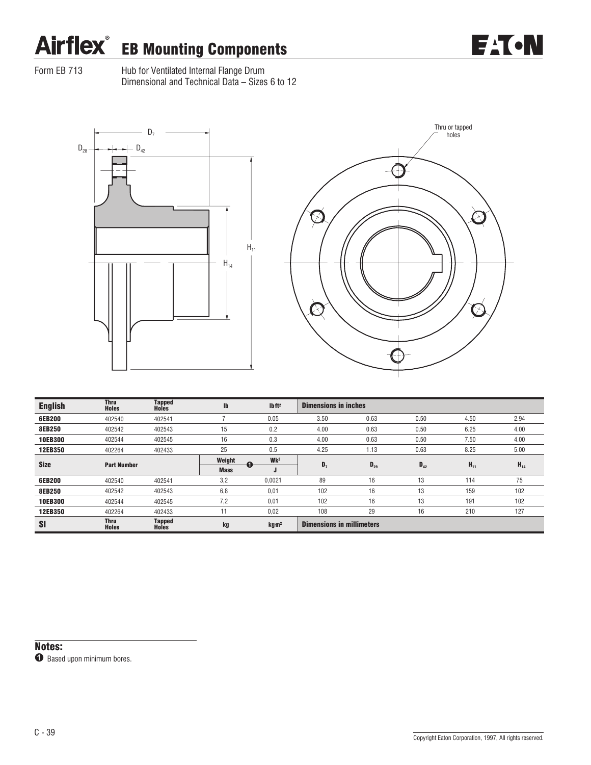# Airflex<sup>®</sup> EB Mounting Components



Form EB 713 Hub for Ventilated Internal Flange Drum Dimensional and Technical Data – Sizes 6 to 12





| <b>English</b> | Thru<br><b>Holes</b> | <b>Tapped</b><br><b>Holes</b> | Ib          | Ibft <sup>2</sup> | <b>Dimensions in inches</b>      |          |          |          |          |
|----------------|----------------------|-------------------------------|-------------|-------------------|----------------------------------|----------|----------|----------|----------|
| 6EB200         | 402540               | 402541                        |             | 0.05              | 3.50                             | 0.63     | 0.50     | 4.50     | 2.94     |
| <b>8EB250</b>  | 402542               | 402543                        | 15          | 0.2               | 4.00                             | 0.63     | 0.50     | 6.25     | 4.00     |
| 10EB300        | 402544               | 402545                        | 16          | 0.3               | 4.00                             | 0.63     | 0.50     | 7.50     | 4.00     |
| 12EB350        | 402264               | 402433                        | 25          | 0.5               | 4.25                             | 1.13     | 0.63     | 8.25     | 5.00     |
| <b>Size</b>    |                      | <b>Part Number</b>            |             | Wk <sup>2</sup>   | $D_7$                            | $D_{29}$ | $D_{42}$ | $H_{11}$ | $H_{14}$ |
|                |                      |                               | <b>Mass</b> | J                 |                                  |          |          |          |          |
| 6EB200         | 402540               | 402541                        | 3,2         | 0,0021            | 89                               | 16       | 13       | 114      | 75       |
| <b>8EB250</b>  | 402542               | 402543                        | 6,8         | 0,01              | 102                              | 16       | 13       | 159      | 102      |
| <b>10EB300</b> | 402544               | 402545                        | 7,2         | 0,01              | 102                              | 16       | 13       | 191      | 102      |
| 12EB350        | 402264               | 402433                        | 11          | 0,02              | 108                              | 29       | 16       | 210      | 127      |
| <b>SI</b>      | Thru<br><b>Holes</b> | <b>Tapped</b><br>Holes        | kg          | kg m <sup>2</sup> | <b>Dimensions in millimeters</b> |          |          |          |          |

#### Notes:

 $\bullet$  Based upon minimum bores.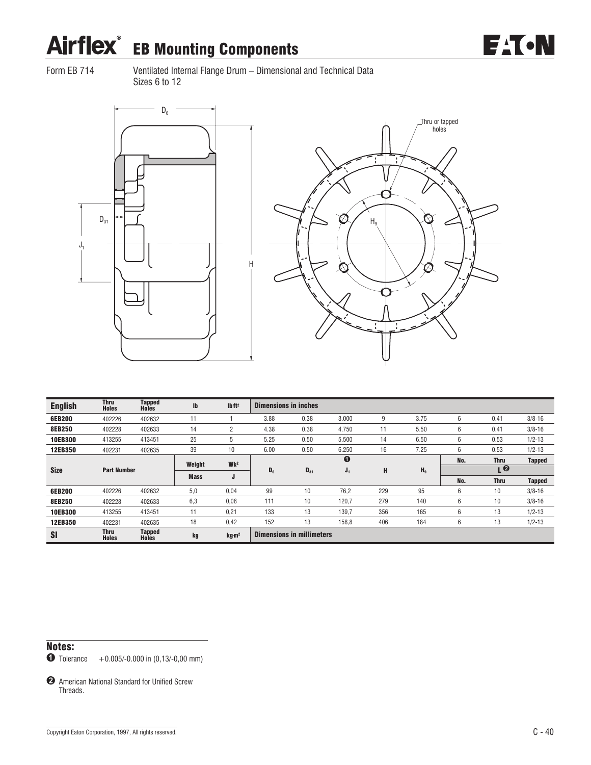# Airflex<sup>®</sup> EB Mounting Components



Form EB 714 Ventilated Internal Flange Drum – Dimensional and Technical Data Sizes 6 to 12



| <b>English</b> | <b>Thru</b><br><b>Holes</b> | <b>Tapped</b><br><b>Holes</b> | Ib              | Ibft <sup>2</sup>           | <b>Dimensions in inches</b> |                                  |       |     |                |     |                       |               |
|----------------|-----------------------------|-------------------------------|-----------------|-----------------------------|-----------------------------|----------------------------------|-------|-----|----------------|-----|-----------------------|---------------|
| 6EB200         | 402226                      | 402632                        | $-1 - 1$<br>. . |                             | 3.88                        | 0.38                             | 3.000 | 9   | 3.75           | 6   | 0.41                  | $3/8 - 16$    |
| 8EB250         | 402228                      | 402633                        | 14              | 2                           | 4.38                        | 0.38                             | 4.750 | 11  | 5.50           | 6   | 0.41                  | $3/8 - 16$    |
| 10EB300        | 413255                      | 413451                        | 25              | 5                           | 5.25                        | 0.50                             | 5.500 | 14  | 6.50           | 6   | 0.53                  | $1/2 - 13$    |
| 12EB350        | 402231                      | 402635                        | 39              | 10                          | 6.00                        | 0.50                             | 6.250 | 16  | 7.25           | 6   | 0.53                  | $1/2 - 13$    |
|                |                             |                               | Weight          | Wk <sup>2</sup>             |                             |                                  | ➊     |     |                | No. | <b>Thru</b>           | <b>Tapped</b> |
| <b>Size</b>    | <b>Part Number</b>          |                               |                 |                             | $D_6$                       | $D_{31}$                         | $J_1$ | н   | H <sub>9</sub> |     | $\boldsymbol{\Theta}$ |               |
|                |                             |                               | <b>Mass</b>     | J                           |                             |                                  |       |     |                | No. | <b>Thru</b>           | <b>Tapped</b> |
| 6EB200         | 402226                      | 402632                        | 5,0             | 0,04                        | 99                          | 10                               | 76,2  | 229 | 95             | 6   | 10                    | $3/8 - 16$    |
| 8EB250         | 402228                      | 402633                        | 6,3             | 0,08                        | 111                         | 10                               | 120,7 | 279 | 140            | 6   | 10                    | $3/8 - 16$    |
| <b>10EB300</b> | 413255                      | 413451                        | 11              | 0.21                        | 133                         | 13                               | 139.7 | 356 | 165            | 6   | 13                    | $1/2 - 13$    |
| 12EB350        | 402231                      | 402635                        | 18              | 0,42                        | 152                         | 13                               | 158,8 | 406 | 184            | 6   | 13                    | $1/2 - 13$    |
| <b>SI</b>      | <b>Thru</b><br><b>Holes</b> | <b>Tapped</b><br><b>Holes</b> | kg              | kg <sub>m<sup>2</sup></sub> |                             | <b>Dimensions in millimeters</b> |       |     |                |     |                       |               |

#### Notes:

 $\bullet$  Tolerance  $+0.005/-0.000$  in (0,13/-0,00 mm)

**2** American National Standard for Unified Screw Threads.